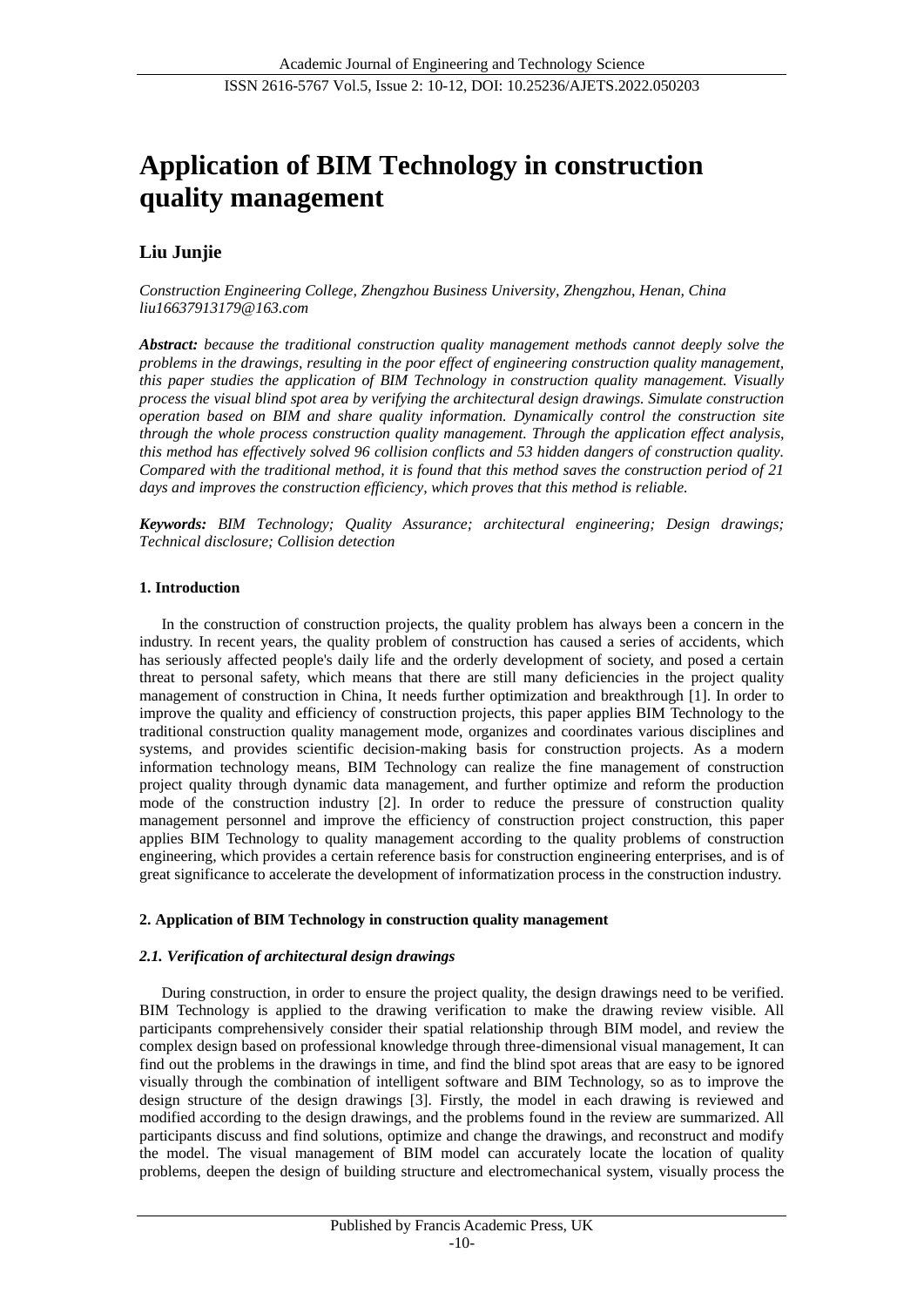# **Application of BIM Technology in construction quality management**

# **Liu Junjie**

*Construction Engineering College, Zhengzhou Business University, Zhengzhou, Henan, China liu16637913179@163.com*

*Abstract: because the traditional construction quality management methods cannot deeply solve the problems in the drawings, resulting in the poor effect of engineering construction quality management, this paper studies the application of BIM Technology in construction quality management. Visually process the visual blind spot area by verifying the architectural design drawings. Simulate construction operation based on BIM and share quality information. Dynamically control the construction site through the whole process construction quality management. Through the application effect analysis, this method has effectively solved 96 collision conflicts and 53 hidden dangers of construction quality. Compared with the traditional method, it is found that this method saves the construction period of 21 days and improves the construction efficiency, which proves that this method is reliable.*

*Keywords: BIM Technology; Quality Assurance; architectural engineering; Design drawings; Technical disclosure; Collision detection*

#### **1. Introduction**

In the construction of construction projects, the quality problem has always been a concern in the industry. In recent years, the quality problem of construction has caused a series of accidents, which has seriously affected people's daily life and the orderly development of society, and posed a certain threat to personal safety, which means that there are still many deficiencies in the project quality management of construction in China, It needs further optimization and breakthrough [1]. In order to improve the quality and efficiency of construction projects, this paper applies BIM Technology to the traditional construction quality management mode, organizes and coordinates various disciplines and systems, and provides scientific decision-making basis for construction projects. As a modern information technology means, BIM Technology can realize the fine management of construction project quality through dynamic data management, and further optimize and reform the production mode of the construction industry [2]. In order to reduce the pressure of construction quality management personnel and improve the efficiency of construction project construction, this paper applies BIM Technology to quality management according to the quality problems of construction engineering, which provides a certain reference basis for construction engineering enterprises, and is of great significance to accelerate the development of informatization process in the construction industry.

#### **2. Application of BIM Technology in construction quality management**

#### *2.1. Verification of architectural design drawings*

During construction, in order to ensure the project quality, the design drawings need to be verified. BIM Technology is applied to the drawing verification to make the drawing review visible. All participants comprehensively consider their spatial relationship through BIM model, and review the complex design based on professional knowledge through three-dimensional visual management, It can find out the problems in the drawings in time, and find the blind spot areas that are easy to be ignored visually through the combination of intelligent software and BIM Technology, so as to improve the design structure of the design drawings [3]. Firstly, the model in each drawing is reviewed and modified according to the design drawings, and the problems found in the review are summarized. All participants discuss and find solutions, optimize and change the drawings, and reconstruct and modify the model. The visual management of BIM model can accurately locate the location of quality problems, deepen the design of building structure and electromechanical system, visually process the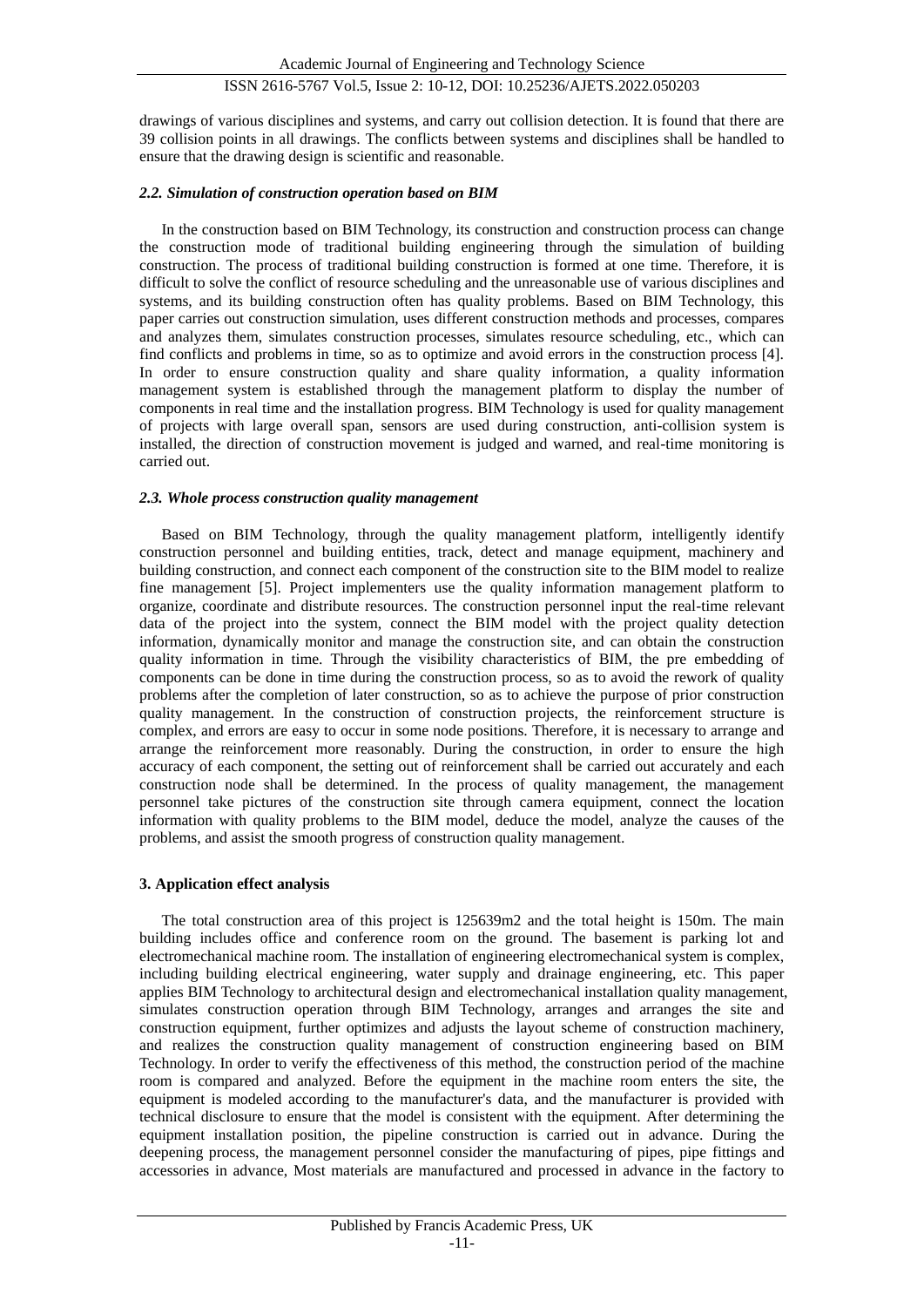## ISSN 2616-5767 Vol.5, Issue 2: 10-12, DOI: 10.25236/AJETS.2022.050203

drawings of various disciplines and systems, and carry out collision detection. It is found that there are 39 collision points in all drawings. The conflicts between systems and disciplines shall be handled to ensure that the drawing design is scientific and reasonable.

#### *2.2. Simulation of construction operation based on BIM*

In the construction based on BIM Technology, its construction and construction process can change the construction mode of traditional building engineering through the simulation of building construction. The process of traditional building construction is formed at one time. Therefore, it is difficult to solve the conflict of resource scheduling and the unreasonable use of various disciplines and systems, and its building construction often has quality problems. Based on BIM Technology, this paper carries out construction simulation, uses different construction methods and processes, compares and analyzes them, simulates construction processes, simulates resource scheduling, etc., which can find conflicts and problems in time, so as to optimize and avoid errors in the construction process [4]. In order to ensure construction quality and share quality information, a quality information management system is established through the management platform to display the number of components in real time and the installation progress. BIM Technology is used for quality management of projects with large overall span, sensors are used during construction, anti-collision system is installed, the direction of construction movement is judged and warned, and real-time monitoring is carried out.

#### *2.3. Whole process construction quality management*

Based on BIM Technology, through the quality management platform, intelligently identify construction personnel and building entities, track, detect and manage equipment, machinery and building construction, and connect each component of the construction site to the BIM model to realize fine management [5]. Project implementers use the quality information management platform to organize, coordinate and distribute resources. The construction personnel input the real-time relevant data of the project into the system, connect the BIM model with the project quality detection information, dynamically monitor and manage the construction site, and can obtain the construction quality information in time. Through the visibility characteristics of BIM, the pre embedding of components can be done in time during the construction process, so as to avoid the rework of quality problems after the completion of later construction, so as to achieve the purpose of prior construction quality management. In the construction of construction projects, the reinforcement structure is complex, and errors are easy to occur in some node positions. Therefore, it is necessary to arrange and arrange the reinforcement more reasonably. During the construction, in order to ensure the high accuracy of each component, the setting out of reinforcement shall be carried out accurately and each construction node shall be determined. In the process of quality management, the management personnel take pictures of the construction site through camera equipment, connect the location information with quality problems to the BIM model, deduce the model, analyze the causes of the problems, and assist the smooth progress of construction quality management.

#### **3. Application effect analysis**

The total construction area of this project is 125639m2 and the total height is 150m. The main building includes office and conference room on the ground. The basement is parking lot and electromechanical machine room. The installation of engineering electromechanical system is complex, including building electrical engineering, water supply and drainage engineering, etc. This paper applies BIM Technology to architectural design and electromechanical installation quality management, simulates construction operation through BIM Technology, arranges and arranges the site and construction equipment, further optimizes and adjusts the layout scheme of construction machinery, and realizes the construction quality management of construction engineering based on BIM Technology. In order to verify the effectiveness of this method, the construction period of the machine room is compared and analyzed. Before the equipment in the machine room enters the site, the equipment is modeled according to the manufacturer's data, and the manufacturer is provided with technical disclosure to ensure that the model is consistent with the equipment. After determining the equipment installation position, the pipeline construction is carried out in advance. During the deepening process, the management personnel consider the manufacturing of pipes, pipe fittings and accessories in advance, Most materials are manufactured and processed in advance in the factory to